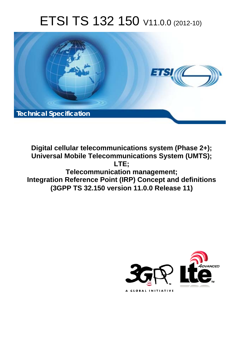# ETSI TS 132 150 V11.0.0 (2012-10)



**Digital cellular telecommunications system (Phase 2+); Universal Mobile Telecommunications System (UMTS); LTE; Telecommunication management; Integration Reference Point (IRP) Concept and definitions (3GPP TS 32.150 version 11.0.0 Release 11)** 

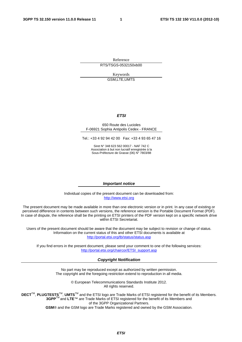Reference RTS/TSGS-0532150vb00

> Keywords GSM,LTE,UMTS

#### *ETSI*

#### 650 Route des Lucioles F-06921 Sophia Antipolis Cedex - FRANCE

Tel.: +33 4 92 94 42 00 Fax: +33 4 93 65 47 16

Siret N° 348 623 562 00017 - NAF 742 C Association à but non lucratif enregistrée à la Sous-Préfecture de Grasse (06) N° 7803/88

#### *Important notice*

Individual copies of the present document can be downloaded from: [http://www.etsi.org](http://www.etsi.org/)

The present document may be made available in more than one electronic version or in print. In any case of existing or perceived difference in contents between such versions, the reference version is the Portable Document Format (PDF). In case of dispute, the reference shall be the printing on ETSI printers of the PDF version kept on a specific network drive within ETSI Secretariat.

Users of the present document should be aware that the document may be subject to revision or change of status. Information on the current status of this and other ETSI documents is available at <http://portal.etsi.org/tb/status/status.asp>

If you find errors in the present document, please send your comment to one of the following services: [http://portal.etsi.org/chaircor/ETSI\\_support.asp](http://portal.etsi.org/chaircor/ETSI_support.asp)

#### *Copyright Notification*

No part may be reproduced except as authorized by written permission. The copyright and the foregoing restriction extend to reproduction in all media.

> © European Telecommunications Standards Institute 2012. All rights reserved.

**DECT**TM, **PLUGTESTS**TM, **UMTS**TM and the ETSI logo are Trade Marks of ETSI registered for the benefit of its Members. **3GPP**TM and **LTE**™ are Trade Marks of ETSI registered for the benefit of its Members and of the 3GPP Organizational Partners.

**GSM**® and the GSM logo are Trade Marks registered and owned by the GSM Association.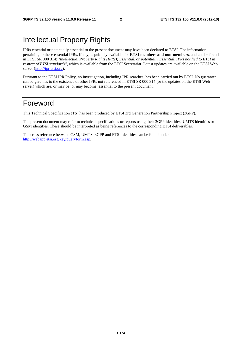### Intellectual Property Rights

IPRs essential or potentially essential to the present document may have been declared to ETSI. The information pertaining to these essential IPRs, if any, is publicly available for **ETSI members and non-members**, and can be found in ETSI SR 000 314: *"Intellectual Property Rights (IPRs); Essential, or potentially Essential, IPRs notified to ETSI in respect of ETSI standards"*, which is available from the ETSI Secretariat. Latest updates are available on the ETSI Web server [\(http://ipr.etsi.org](http://webapp.etsi.org/IPR/home.asp)).

Pursuant to the ETSI IPR Policy, no investigation, including IPR searches, has been carried out by ETSI. No guarantee can be given as to the existence of other IPRs not referenced in ETSI SR 000 314 (or the updates on the ETSI Web server) which are, or may be, or may become, essential to the present document.

### Foreword

This Technical Specification (TS) has been produced by ETSI 3rd Generation Partnership Project (3GPP).

The present document may refer to technical specifications or reports using their 3GPP identities, UMTS identities or GSM identities. These should be interpreted as being references to the corresponding ETSI deliverables.

The cross reference between GSM, UMTS, 3GPP and ETSI identities can be found under <http://webapp.etsi.org/key/queryform.asp>.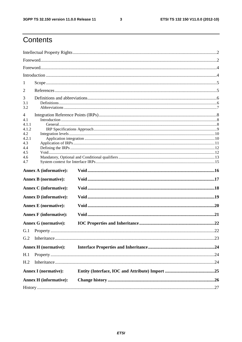$\mathbf{3}$ 

## Contents

| 1                             |    |
|-------------------------------|----|
| 2                             |    |
| 3                             |    |
| 3.1                           |    |
| 3.2                           |    |
| $\overline{4}$                |    |
| 4.1                           |    |
| 4.1.1<br>4.1.2                |    |
| 4.2                           |    |
| 4.2.1                         |    |
| 4.3                           |    |
| 4.4                           |    |
| 4.5                           |    |
| 4.6                           |    |
| 4.7                           |    |
| <b>Annex A (informative):</b> |    |
| <b>Annex B</b> (normative):   |    |
| <b>Annex C</b> (informative): |    |
| <b>Annex D</b> (informative): |    |
| <b>Annex E</b> (normative):   |    |
| <b>Annex F</b> (informative): |    |
| <b>Annex G (normative):</b>   |    |
| G.1 Property                  | 22 |
| G.2                           |    |
| <b>Annex H</b> (normative):   |    |
| H.1                           |    |
| H <sub>.2</sub>               |    |
| <b>Annex I</b> (normative):   |    |
|                               |    |
| <b>Annex H</b> (informative): |    |
|                               |    |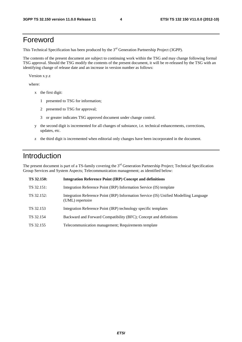### Foreword

This Technical Specification has been produced by the 3<sup>rd</sup> Generation Partnership Project (3GPP).

The contents of the present document are subject to continuing work within the TSG and may change following formal TSG approval. Should the TSG modify the contents of the present document, it will be re-released by the TSG with an identifying change of release date and an increase in version number as follows:

Version x.y.z

where:

- x the first digit:
	- 1 presented to TSG for information;
	- 2 presented to TSG for approval;
	- 3 or greater indicates TSG approved document under change control.
- y the second digit is incremented for all changes of substance, i.e. technical enhancements, corrections, updates, etc.
- z the third digit is incremented when editorial only changes have been incorporated in the document.

### Introduction

The present document is part of a TS-family covering the 3<sup>rd</sup> Generation Partnership Project; Technical Specification Group Services and System Aspects; Telecommunication management; as identified below:

| TS 32.150: | <b>Integration Reference Point (IRP) Concept and definitions</b>                                          |
|------------|-----------------------------------------------------------------------------------------------------------|
| TS 32.151: | Integration Reference Point (IRP) Information Service (IS) template                                       |
| TS 32.152: | Integration Reference Point (IRP) Information Service (IS) Unified Modelling Language<br>(UML) repertoire |
| TS 32.153  | Integration Reference Point (IRP) technology specific templates                                           |
| TS 32.154  | Backward and Forward Compatibility (BFC); Concept and definitions                                         |
| TS 32.155  | Telecommunication management; Requirements template                                                       |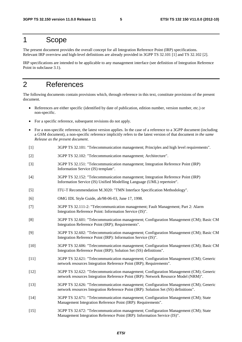### 1 Scope

The present document provides the overall concept for all Integration Reference Point (IRP) specifications. Relevant IRP overview and high-level definitions are already provided in 3GPP TS 32.101 [1] and TS 32.102 [2].

IRP specifications are intended to be applicable to any management interface (see definition of Integration Reference Point in subclause 3.1).

### 2 References

The following documents contain provisions which, through reference in this text, constitute provisions of the present document.

- References are either specific (identified by date of publication, edition number, version number, etc.) or non-specific.
- For a specific reference, subsequent revisions do not apply.
- For a non-specific reference, the latest version applies. In the case of a reference to a 3GPP document (including a GSM document), a non-specific reference implicitly refers to the latest version of that document *in the same Release as the present document*.
- [1] 3GPP TS 32.101: "Telecommunication management; Principles and high level requirements".
- [2] 3GPP TS 32.102: "Telecommunication management; Architecture".
- [3] 3GPP TS 32.151: "Telecommunication management; Integration Reference Point (IRP) Information Service (IS) template".
- [4] 3GPP TS 32.152: "Telecommunication management; Integration Reference Point (IRP) Information Service (IS) Unified Modelling Language (UML) repertoire".
- [5] ITU-T Recommendation M.3020: "TMN Interface Specification Methodology".
- [6] OMG IDL Style Guide, ab/98-06-03, June 17, 1998.
- [7] 3GPP TS 32.111-2: "Telecommunication management; Fault Management; Part 2: Alarm Integration Reference Point: Information Service (IS)".
- [8] 3GPP TS 32.601: "Telecommunication management; Configuration Management (CM); Basic CM Integration Reference Point (IRP); Requirements".
- [9] 3GPP TS 32.602: "Telecommunication management; Configuration Management (CM); Basic CM Integration Reference Point (IRP): Information Service (IS)".
- [10] 3GPP TS 32.606: "Telecommunication management; Configuration Management (CM); Basic CM Integration Reference Point (IRP); Solution Set (SS) definitions".
- [11] 3GPP TS 32.621: "Telecommunication management; Configuration Management (CM); Generic network resources Integration Reference Point (IRP); Requirements".
- [12] 3GPP TS 32.622: "Telecommunication management; Configuration Management (CM); Generic network resources Integration Reference Point (IRP): Network Resource Model (NRM)".
- [13] 3GPP TS 32.626: "Telecommunication management; Configuration Management (CM); Generic network resources Integration Reference Point (IRP): Solution Set (SS) definitions".
- [14] 3GPP TS 32.671: "Telecommunication management; Configuration Management (CM); State Management Integration Reference Point (IRP): Requirements".
- [15] 3GPP TS 32.672: "Telecommunication management; Configuration Management (CM); State Management Integration Reference Point (IRP): Information Service (IS)".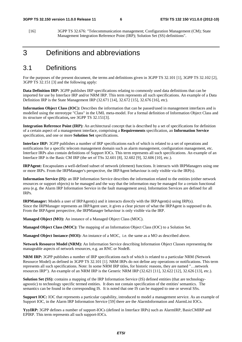[16] 3GPP TS 32.676: "Telecommunication management; Configuration Management (CM); State Management Integration Reference Point (IRP); Solution Set (SS) definitions".

### 3 Definitions and abbreviations

### 3.1 Definitions

For the purposes of the present document, the terms and definitions given in 3GPP TS 32.101 [1], 3GPP TS 32.102 [2], 3GPP TS 32.151 [3] and the following apply:

**Data Definition IRP:** 3GPP publishes IRP specifications relating to commonly used data definitions that can be imported for use by Interface IRP and/or NRM IRP. This term represents all such specifications. An example of a Data Definition IRP is the State Management IRP (32.671 [14], 32.672 [15], 32.676 [16], etc).

**Information Object Class (IOC):** Describes the information that can be passed/used in management interfaces and is modelled using the stereotype "Class" in the UML meta-model. For a formal definition of Information Object Class and its structure of specification**,** see 3GPP TS 32.151[3].

**Integration Reference Point (IRP):** An architectural concept that is described by a set of specifications for definition of a certain aspect of a management interface, comprising a **Requirements** specification, an **Information Service**  specification, and one or more **Solution Set** specifications.

**Interface IRP:** 3GPP publishes a number of IRP specifications each of which is related to a set of operations and notifications for a specific telecom management domain such as alarm management, configuration management, etc. Interface IRPs also contain definitions of Support IOCs. This term represents all such specifications. An example of an Interface IRP is the Basic CM IRP (the set of TSs 32.601 [8], 32.602 [9], 32.606 [10], etc.).

**IRPAgent:** Encapsulates a well-defined subset of network (element) functions. It interacts with IRPManagers using one or more IRPs. From the IRPManager's perspective, the IRPAgent behaviour is only visible via the IRP(s).

**Information Service (IS):** an IRP Information Service describes the information related to the entities (either network resources or support objects) to be managed and the way that the information may be managed for a certain functional area (e.g. the Alarm IRP Information Service in the fault management area). Information Services are defined for all IRPs.

**IRPManager:** Models a user of IRPAgent(s) and it interacts directly with the IRPAgent(s) using IRP(s). Since the IRPManager represents an IRPAgent user, it gives a clear picture of what the IRPAgent is supposed to do. From the IRPAgent perspective, the IRPManager behaviour is only visible via the IRP.

**Managed Object (MO):** An instance of a Managed Object Class (MOC).

**Managed Object Class (MOC):** The mapping of an Information Object Class (IOC) to a Solution Set.

**Managed Object Instance (MOI):** An instance of a MOC, i.e. the same as a MO as described above.

**Network Resource Model (NRM):** An Information Service describing Information Object Classes representing the manageable aspects of network resources, e.g. an RNC or NodeB.

**NRM IRP:** 3GPP publishes a number of IRP specifications each of which is related to a particular NRM (Network Resource Model) as defined in 3GPP TS 32.101 [1]. NRM IRPs do not define any operations or notifications. This term represents all such specifications. Note: In some NRM IRP titles, for historic reasons, they are named "…network resources IRP"). An example of an NRM IRP is the Generic NRM IRP (32.621 [11], 32.622 [12], 32.626 [13], etc.).

**Solution Set (SS):** contains a mapping of the IRP Information Service (IS) defined entities (that are technologyagnostic) to technology specific termed entities. It does not contain specification of the entities' semantics. The semantics can be found in the corresponding IS. It is noted that one IS can be mapped to one or several SSs.

**Support IOC:** IOC that represents a particular capability, introduced to model a management service. As an example of Support IOC, in the Alarm IRP Information Service [59] there are the AlarmInformation and AlarmList IOCs.

**YyyIRP:** 3GPP defines a number of support-IOCs (defined in Interface IRPs) such as AlarmIRP, BasicCMIRP and EPIRP. This term represents all such support-IOCs.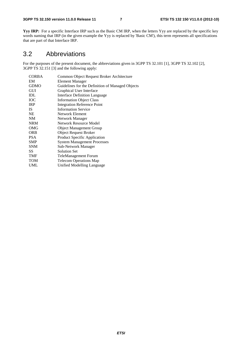**Yyy IRP:** For a specific Interface IRP such as the Basic CM IRP, when the letters Yyy are replaced by the specific key words naming that IRP (in the given example the Yyy is replaced by 'Basic CM'), this term represents all specifications that are part of that Interface IRP.

### 3.2 Abbreviations

For the purposes of the present document, the abbreviations given in 3GPP TS 32.101 [1], 3GPP TS 32.102 [2], 3GPP TS 32.151 [3] and the following apply:

| <b>CORBA</b> | Common Object Request Broker Architecture        |
|--------------|--------------------------------------------------|
| EM           | Element Manager                                  |
| <b>GDMO</b>  | Guidelines for the Definition of Managed Objects |
| GUI          | Graphical User Interface                         |
| IDL          | <b>Interface Definition Language</b>             |
| <b>IOC</b>   | <b>Information Object Class</b>                  |
| <b>IRP</b>   | <b>Integration Reference Point</b>               |
| <b>IS</b>    | <b>Information Service</b>                       |
| NE           | Network Element                                  |
| <b>NM</b>    | Network Manager                                  |
| <b>NRM</b>   | <b>Network Resource Model</b>                    |
| <b>OMG</b>   | <b>Object Management Group</b>                   |
| <b>ORB</b>   | <b>Object Request Broker</b>                     |
| <b>PSA</b>   | <b>Product Specific Application</b>              |
| <b>SMP</b>   | <b>System Management Processes</b>               |
| <b>SNM</b>   | Sub-Network Manager                              |
| SS           | Solution Set                                     |
| TMF          | <b>TeleManagement Forum</b>                      |
| TOM          | <b>Telecom Operations Map</b>                    |
| UML          | Unified Modelling Language                       |
|              |                                                  |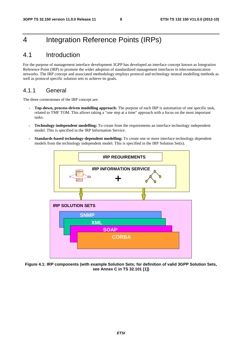### 4 Integration Reference Points (IRPs)

### 4.1 Introduction

For the purpose of management interface development 3GPP has developed an interface concept known as Integration Reference Point (IRP) to promote the wider adoption of standardized management interfaces in telecommunication networks. The IRP concept and associated methodology employs protocol and technology neutral modelling methods as well as protocol specific solution sets to achieve its goals.

### 4.1.1 General

The three cornerstones of the IRP concept are:

- **Top-down, process-driven modelling approach:** The purpose of each IRP is automation of one specific task, related to TMF TOM. This allows taking a "one step at a time" approach with a focus on the most important tasks.
- **Technology-independent modelling:** To create from the requirements an interface technology independent model. This is specified in the IRP Information Service.
- **Standards-based technology-dependent modelling:** To create one or more interface technology dependent models from the technology independent model. This is specified in the IRP Solution Set(s).



**Figure 4.1: IRP components (with example Solution Sets; for definition of valid 3GPP Solution Sets, see Annex C in TS 32.101 [1])**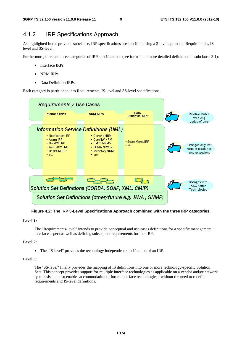### 4.1.2 IRP Specifications Approach

As highlighted in the previous subclause, IRP specifications are specified using a 3-level approach: Requirements, ISlevel and SS-level.

Furthermore, there are three categories of IRP specifications (see formal and more detailed definitions in subclause 3.1):

- Interface IRPs
- NRM IRPs
- Data Definition IRPs.

Each category is partitioned into Requirements, IS-level and SS-level specifications.



**Figure 4.2: The IRP 3-Level Specifications Approach combined with the three IRP categories.** 

#### **Level 1:**

 The "Requirements-level" intends to provide conceptual and use cases definitions for a specific management interface aspect as well as defining subsequent requirements for this IRP.

#### **Level 2:**

• The "IS-level" provides the technology independent specification of an IRP.

#### **Level 3:**

 The "SS-level" finally provides the mapping of IS definitions into one or more technology-specific Solution Sets. This concept provides support for multiple interface technologies as applicable on a vendor and/or network type basis and also enables accommodation of future interface technologies - without the need to redefine requirements and IS-level definitions.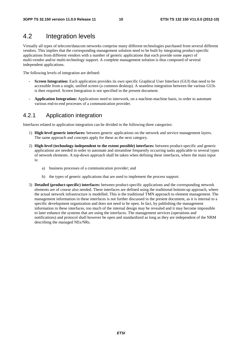### 4.2 Integration levels

Virtually all types of telecom/datacom networks comprise many different technologies purchased from several different vendors. This implies that the corresponding management solution need to be built by integrating product-specific applications from different vendors with a number of generic applications that each provide some aspect of multi-vendor and/or multi-technology support. A complete management solution is thus composed of several independent applications.

The following levels of integration are defined:

- **Screen Integration:** Each application provides its own specific Graphical User Interface (GUI) that need to be accessible from a single, unified screen (a common desktop). A seamless integration between the various GUIs is then required. Screen Integration is not specified in the present document.
- **Application Integration:** Applications need to interwork, on a machine-machine basis, in order to automate various end-to-end processes of a communication provider.

### 4.2.1 Application integration

Interfaces related to application integration can be divided in the following three categories:

- 1) **High-level generic interfaces:** between generic applications on the network and service management layers. The same approach and concepts apply for these as the next category.
- 2) **High-level (technology-independent to the extent possible) interfaces:** between product-specific and generic applications are needed in order to automate and streamline frequently occurring tasks applicable to several types of network elements. A top-down approach shall be taken when defining these interfaces, where the main input is:
	- a) business processes of a communication provider; and
	- b) the types of generic applications that are used to implement the process support.
- 3) **Detailed (product-specific) interfaces:** between product-specific applications and the corresponding network elements are of course also needed. These interfaces are defined using the traditional bottom-up approach, where the actual network infrastructure is modelled. This is the traditional TMN approach to element management. The management information in these interfaces is not further discussed in the present document, as it is internal to a specific development organization and does not need to be open. In fact, by publishing the management information in these interfaces, too much of the internal design may be revealed and it may become impossible to later enhance the systems that are using the interfaces. The management services (operations and notifications) and protocol shall however be open and standardized as long as they are independent of the NRM describing the managed NEs/NRs.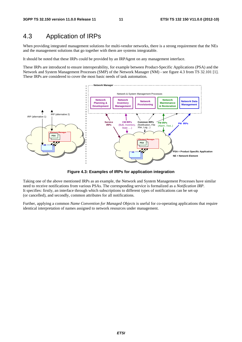### 4.3 Application of IRPs

When providing integrated management solutions for multi-vendor networks, there is a strong requirement that the NEs and the management solutions that go together with them are systems integratable.

It should be noted that these IRPs could be provided by an IRPAgent on any management interface.

These IRPs are introduced to ensure interoperability, for example between Product-Specific Applications (PSA) and the Network and System Management Processes (SMP) of the Network Manager (NM) - see figure 4.3 from TS 32.101 [1]. These IRPs are considered to cover the most basic needs of task automation.



**Figure 4.3: Examples of IRPs for application integration** 

Taking one of the above mentioned IRPs as an example, the Network and System Management Processes have similar need to receive notifications from various PSAs. The corresponding service is formalized as a *Notification IRP*. It specifies: firstly, an interface through which subscriptions to different types of notifications can be set-up (or cancelled), and secondly, common attributes for all notifications.

Further, applying a common *Name Convention for Managed Objects* is useful for co-operating applications that require identical interpretation of names assigned to network resources under management.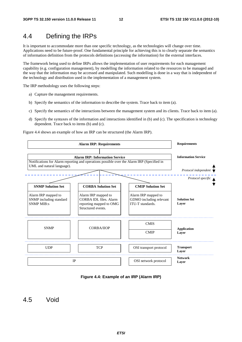### 4.4 Defining the IRPs

It is important to accommodate more than one specific technology, as the technologies will change over time. Applications need to be future-proof. One fundamental principle for achieving this is to clearly separate the semantics of information definition from the protocols definitions (accessing the information) for the external interfaces.

The framework being used to define IRPs allows the implementation of user requirements for each management capability (e.g. configuration management), by modelling the information related to the resources to be managed and the way that the information may be accessed and manipulated. Such modelling is done in a way that is independent of the technology and distribution used in the implementation of a management system.

The IRP methodology uses the following steps:

- a) Capture the management requirements.
- b) Specify the semantics of the information to describe the system. Trace back to item (a).
- c) Specify the semantics of the interactions between the management system and its clients. Trace back to item (a).
- d) Specify the syntaxes of the information and interactions identified in (b) and (c). The specification is technology dependent. Trace back to items (b) and (c).

Figure 4.4 shows an example of how an IRP can be structured (the Alarm IRP).



**Figure 4.4: Example of an IRP (Alarm IRP)** 

4.5 Void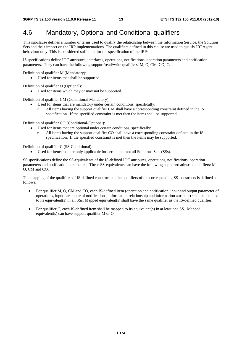### 4.6 Mandatory, Optional and Conditional qualifiers

This subclause defines a number of terms used to qualify the relationship between the Information Service, the Solution Sets and their impact on the IRP implementations. The qualifiers defined in this clause are used to qualify IRPAgent behaviour only. This is considered sufficient for the specification of the IRPs.

IS specifications define IOC attributes, interfaces, operations, notifications, operation parameters and notification parameters. They can have the following support/read/write qualifiers: M, O, CM, CO, C.

Definition of qualifier M (Mandatory):

Used for items that shall be supported.

Definition of qualifier O (Optional):

• Used for items which may or may not be supported.

Definition of qualifier CM (Conditional-Mandatory):

- Used for items that are mandatory under certain conditions, specifically:
	- o All items having the support qualifier CM shall have a corresponding constraint defined in the IS specification. If the specified constraint is met then the items shall be supported.

Definition of qualifier CO (Conditional-Optional):

- Used for items that are optional under certain conditions, specifically:
	- o All items having the support qualifier CO shall have a corresponding constraint defined in the IS specification. If the specified constraint is met then the items may be supported.

Definition of qualifier C (SS-Conditional):

• Used for items that are only applicable for certain but not all Solutions Sets (SSs).

SS specifications define the SS-equivalents of the IS-defined IOC attributes, operations, notifications, operation parameters and notification parameters. These SS-equivalents can have the following support/read/write qualifiers: M, O, CM and CO.

The mapping of the qualifiers of IS-defined constructs to the qualifiers of the corresponding SS-constructs is defined as follows:

- For qualifier M, O, CM and CO, each IS-defined item (operation and notification, input and output parameter of operations, input parameter of notifications, information relationship and information attribute) shall be mapped to its equivalent(s) in all SSs. Mapped equivalent(s) shall have the same qualifier as the IS-defined qualifier.
- For qualifier C, each IS-defined item shall be mapped to its equivalent(s) in at least one SS. Mapped equivalent(s) can have support qualifier M or O.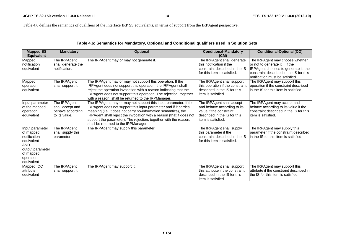**14 ETSI TS 132 150 V11.0.0 (2012-10)**

Table 4.6 defines the semantics of qualifiers of the Interface IRP SS equivalents, in terms of support from the IRPAgent perspective.

| <b>Mapped SS</b>                                                                                                                     | <b>Mandatory</b>                                                       | <b>Optional</b>                                                                                                                                                                                                                                                                                                                                                                            | <b>Conditional-Mandatory</b>                                                                                                               | <b>Conditional-Optional (CO)</b>                                                                                                                                                       |
|--------------------------------------------------------------------------------------------------------------------------------------|------------------------------------------------------------------------|--------------------------------------------------------------------------------------------------------------------------------------------------------------------------------------------------------------------------------------------------------------------------------------------------------------------------------------------------------------------------------------------|--------------------------------------------------------------------------------------------------------------------------------------------|----------------------------------------------------------------------------------------------------------------------------------------------------------------------------------------|
| <b>Equivalent</b>                                                                                                                    |                                                                        |                                                                                                                                                                                                                                                                                                                                                                                            | (CM)                                                                                                                                       |                                                                                                                                                                                        |
| Mapped<br>notification<br>equivalent                                                                                                 | The IRPAgent<br>shall generate the<br>notification.                    | The IRPAgent may or may not generate it.                                                                                                                                                                                                                                                                                                                                                   | The IRPAgent shall generate<br>lthis notification if the<br>constraint described in the IS<br>for this item is satisfied.                  | The IRPAgent may choose whether<br>or not to generate it. If the<br>IRPAgent chooses to generate it, the<br>constraint described in the IS for this<br>notification must be satisfied. |
| Mapped<br>operation<br>equivalent                                                                                                    | The IRPAgent<br>shall support it.                                      | The IRPAgent may or may not support this operation. If the<br>IRPAgent does not support this operation, the IRPAgent shall<br>reject the operation invocation with a reason indicating that the<br>IRPAgent does not support this operation. The rejection, together<br>with a reason, shall be returned to the IRPManager.                                                                | The IRPAgent shall support<br>this operation if the constraint<br>described in the IS for this<br>item is satisfied.                       | The IRPAgent may support this<br>operation if the constraint described<br>in the IS for this item is satisfied.                                                                        |
| Input parameter<br>of the mapped<br>operation<br>equivalent                                                                          | The IRPAgent<br>shall accept and<br>behave according<br>lto its value. | The IRPAgent may or may not support this input parameter. If the<br>IRPAgent does not support this input parameter and if it carries<br>meaning (i.e. it does not carry no-information semantics), the<br>IRPAgent shall reject the invocation with a reason (that it does not<br>support the parameter). The rejection, together with the reason,<br>shall be returned to the IRPManager. | The IRPAgent shall accept<br>and behave according to its<br>value if the constraint<br>described in the IS for this<br>litem is satisfied. | The IRPAgent may accept and<br>behave according to its value if the<br>constraint described in the IS for this<br>item is satisfied.                                                   |
| Input parameter<br>of mapped<br>notification<br>equivalent<br><b>AND</b><br>output parameter<br>of mapped<br>operation<br>equivalent | The IRPAgent<br>shall supply this<br>barameter.                        | The IRPAgent may supply this parameter.                                                                                                                                                                                                                                                                                                                                                    | The IRPAgent shall supply<br>this parameter if the<br>constraint described in the IS<br>for this item is satisfied.                        | The IRPAgent may supply this<br>parameter if the constraint described<br>in the IS for this item is satisfied.                                                                         |
| Mapped IOC<br>lattribute<br>equivalent                                                                                               | The IRPAgent<br>shall support it.                                      | The IRPAgent may support it.                                                                                                                                                                                                                                                                                                                                                               | The IRPAgent shall support<br>this attribute if the constraint<br>described in the IS for this<br>litem is satisfied.                      | The IRPAgent may support this<br>attribute if the constraint described in<br>the IS for this item is satisfied.                                                                        |

#### **Table 4.6: Semantics for Mandatory, Optional and Conditional qualifiers used in Solution Sets**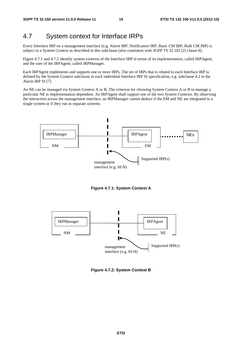### 4.7 System context for Interface IRPs

Every Interface IRP on a management interface (e.g. Alarm IRP, Notification IRP, Basic CM IRP, Bulk CM IRP) is subject to a System Context as described in this subclause (also consistent with 3GPP TS 32.102 [2] clause 8).

Figure 4.7.1 and 4.7.2 identify system contexts of the Interface IRP in terms of its implementation, called IRPAgent, and the user of the IRPAgent, called IRPManager.

Each IRPAgent implements and supports one or more IRPs. The set of IRPs that is related to each Interface IRP is defined by the System Context subclause in each individual Interface IRP IS specification, e.g. subclause 4.2 in the Alarm IRP IS [7].

An NE can be managed via System Context A or B. The criterion for choosing System Context A or B to manage a particular NE is implementation dependent. An IRPAgent shall support one of the two System Contexts. By observing the interaction across the management interface, an IRPManager cannot deduce if the EM and NE are integrated in a single system or if they run in separate systems.



**Figure 4.7.1: System Context A** 



**Figure 4.7.2: System Context B**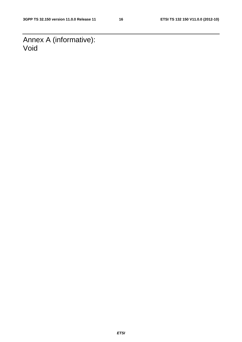Annex A (informative): Void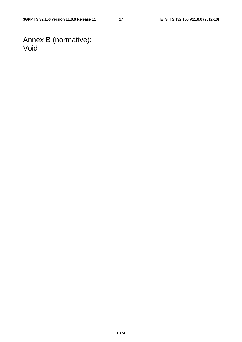Annex B (normative): Void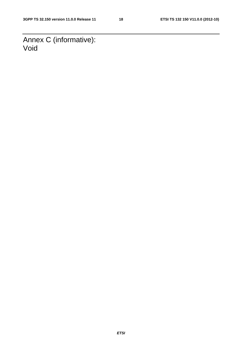Annex C (informative): Void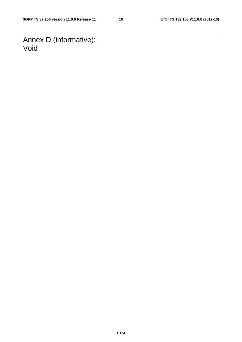Annex D (informative): Void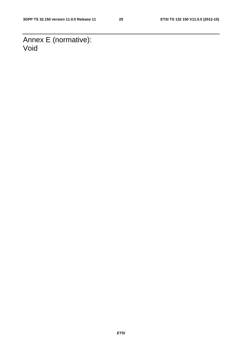Annex E (normative): Void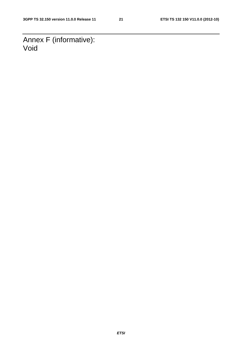Annex F (informative): Void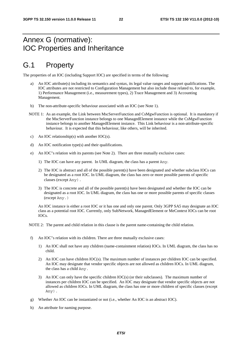### Annex G (normative): IOC Properties and Inheritance

### G.1 Property

The properties of an IOC (including Support IOC) are specified in terms of the following:

- a) An IOC attribute(s) including its semantics and syntax, its legal value ranges and support qualifications. The IOC attributes are not restricted to Configuration Management but also include those related to, for example, 1) Performance Management (i.e., measurement types), 2) Trace Management and 3) Accounting Management.
- b) The non-attribute-specific behaviour associated with an IOC (see Note 1).
- NOTE 1: As an example, the Link between MscServerFunction and CsMgwFunction is optional. It is mandatory if the MscServerFunction instance belongs to one ManagedElement instance while the CsMgwFunction instance belongs to another ManagedElement instance. This Link behaviour is a non-attribute-specific behaviour. It is expected that this behaviour, like others, will be inherited.
- c) An IOC relationship(s) with another IOC(s).
- d) An IOC notification type(s) and their qualifications.
- e) An IOC"s relation with its parents (see Note 2). There are three mutually exclusive cases:
	- 1) The IOC can have any parent. In UML diagram, the class has a parent Any.
	- 2) The IOC is abstract and all of the possible parent(s) have been designated and whether subclass IOCs can be designated as a root IOC. In UML diagram, the class has zero or more possible parents of specific classes (except Any).
	- 3) The IOC is concrete and all of the possible parent(s) have been designated and whether the IOC can be designated as a root IOC. In UML diagram, the class has one or more possible parents of specific classes (except Any.)

An IOC instance is either a root IOC or it has one and only one parent. Only 3GPP SA5 may designate an IOC class as a potential root IOC. Currently, only SubNetwork, ManagedElement or MeContext IOCs can be root IOCs.

NOTE 2: The parent and child relation in this clause is the parent name-containing the child relation.

- f) An IOC"s relation with its children. There are three mutually exclusive cases:
	- 1) An IOC shall not have any children (name-containment relation) IOCs. In UML diagram, the class has no child.
	- 2) An IOC can have children IOC(s). The maximum number of instances per children IOC can be specified. An IOC may designate that vendor specific objects are not allowed as children IOCs. In UML diagram, the class has a child Any.
	- 3) An IOC can only have the specific children IOC(s) (or their subclasses). The maximum number of instances per children IOC can be specified. An IOC may designate that vendor specific objects are not allowed as children IOCs. In UML diagram, the class has one or more children of specific classes (except Any).
- g) Whether An IOC can be instantiated or not (i.e., whether An IOC is an abstract IOC).
- h) An attribute for naming purpose.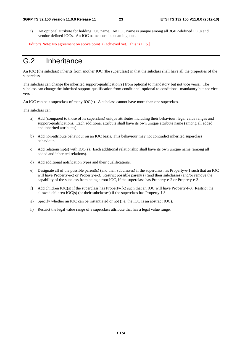i) An optional attribute for holding IOC name. An IOC name is unique among all 3GPP-defined IOCs and vendor-defined IOCs. An IOC name must be unambiguous.

Editor's Note: No agreement on above point i) achieved yet. This is FFS.]

### G.2 Inheritance

An IOC (the subclass) inherits from another IOC (the superclass) in that the subclass shall have all the properties of the superclass.

The subclass can change the inherited support-qualification(s) from optional to mandatory but not vice versa. The subclass can change the inherited support-qualification from conditional-optional to conditional-mandatory but not vice versa.

An IOC can be a superclass of many IOC(s). A subclass cannot have more than one superclass.

The subclass can:

- a) Add (compared to those of its superclass) unique attributes including their behaviour, legal value ranges and support-qualifications. Each additional attribute shall have its own unique attribute name (among all added and inherited attributes).
- b) Add non-attribute behaviour on an IOC basis. This behaviour may not contradict inherited superclass behaviour.
- c) Add relationship(s) with IOC(s). Each additional relationship shall have its own unique name (among all added and inherited relations).
- d) Add additional notification types and their qualifications.
- e) Designate all of the possible parent(s) (and their subclasses) if the superclass has Property-e-1 such that an IOC will have Property-e-2 or Property-e-3. Restrict possible parent(s) (and their subclasses) and/or remove the capability of the subclass from being a root IOC, if the superclass has Property-e-2 or Property-e-3.
- f) Add children IOC(s) if the superclass has Property-f-2 such that an IOC will have Property-f-3. Restrict the allowed children IOC(s) (or their subclasses) if the superclass has Property-f-3.
- g) Specify whether an IOC can be instantiated or not (i.e. the IOC is an abstract IOC).
- h) Restrict the legal value range of a superclass attribute that has a legal value range.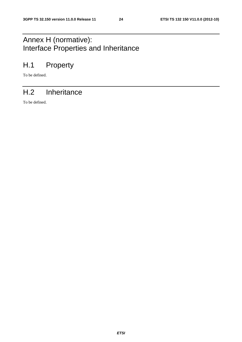## Annex H (normative): Interface Properties and Inheritance

### H.1 Property

To be defined.

### H.2 Inheritance

To be defined.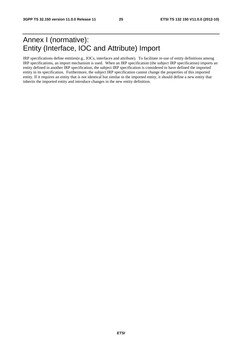### Annex I (normative): Entity (Interface, IOC and Attribute) Import

IRP specifications define entities(e.g., IOCs, interfaces and attribute). To facilitate re-use of entity definitions among IRP specifications, an import mechanism is used. When an IRP specification (the subject IRP specification) imports an entity defined in another IRP specification, the subject IRP specification is considered to have defined the imported entity in its specification. Furthermore, the subject IRP specification cannot change the properties of this imported entity. If it requires an entity that is not identical but similar to the imported entity, it should define a new entity that inherits the imported entity and introduce changes in the new entity definition.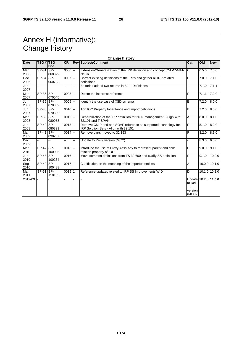### Annex H (informative): Change history

| <b>Change history</b> |                  |                |            |    |                                                                                                         |                                                           |       |                   |
|-----------------------|------------------|----------------|------------|----|---------------------------------------------------------------------------------------------------------|-----------------------------------------------------------|-------|-------------------|
| <b>Date</b>           | <b>TSG # TSG</b> | Doc.           | <b>CR</b>  |    | <b>Rev Subject/Comment</b>                                                                              | Cat                                                       | Old   | <b>New</b>        |
| Mar<br>2006           | SP-31            | ISP-<br>060099 | $0006$ $-$ |    | Extension/Generalization of the IRP definition and concept (OAM7-NIM-<br>NGN)                           | C                                                         | 6.5.0 | 7.0.0             |
| Dec<br>2006           | $SP-34$ SP-      | 060723         | $0007$ --  |    | Correct existing definitions of the IRPs and gather all IRP-related<br>definitions                      | F                                                         | 7.0.0 | 7.1.0             |
| Jan<br>2007           | $\overline{a}$   |                |            | ш. | Editorial: added two returns in 3.1<br><b>Definitions</b>                                               | --                                                        | 7.1.0 | 7.1.1             |
| Mar<br>2007           | $SP-35$ SP-      | 070045         | $0008 -$   |    | Delete the incorrect reference                                                                          | F                                                         | 7.1.1 | 7.2.0             |
| Jun<br>2007           | SP-36 SP-        | 070309         | $0009$ $-$ |    | Identify the use case of XSD schema                                                                     | B                                                         | 7.2.0 | 8.0.0             |
| Jun<br>2007           | SP-36 SP-        | 070309         | $0010$ --  |    | Add IOC Property Inheritance and Import definitions                                                     | B                                                         | 7.2.0 | 8.0.0             |
| Mar<br>2008           | SP-39 SP-        | 080058         | $0012$ --  |    | Generalization of the IRP definition for NGN management - Align with<br>32.101 and TISPAN               | A                                                         | 8.0.0 | 8.1.0             |
| Jun<br>2008           | $SP-40$ SP-      | 080329         | $0013$ $-$ |    | Remove CMIP and add SOAP reference as supported technology for<br>IRP Solution Sets - Align with 32.101 | F                                                         | 8.1.0 | 8.2.0             |
| Mar<br>2009           | $SP-43$ $SP-$    | 090207         | $0014$ --  |    | Remove parts moved to 32.153                                                                            | F                                                         | 8.2.0 | 8.3.0             |
| Dec<br>2009           | Ш,               |                | ż,         | ш. | Update to Rel-9 version (MCC)                                                                           | $\overline{a}$                                            | 8.3.0 | 9.0.0             |
| Mar<br>2010           | $SP-47$ SP-      | 100035         | $0015$ --  |    | Introduce the use of ProxyClass Any to represent parent and child<br>relation property of IOC           | F                                                         | 9.0.0 | 9.1.0             |
| Jun<br>2010           | $SP-48$ SP-      | 100264         | $0016$ --  |    | Move common definitions from TS 32.600 and clarify SS definition                                        | F                                                         | 9.1.0 | 10.0.0            |
| Sep<br>2010           | $SP-49$ SP-      | 100488         | $0017$ --  |    | Clarification on the meaning of the imported entities                                                   | A                                                         |       | $10.0.0$ $10.1.0$ |
| Mar<br>2011           | SP-51            | ISP-<br>110103 | 0019 1     |    | Reference updates related to IRP SS Improvements WID                                                    | D                                                         |       | 10.1.0 10.2.0     |
| 2012-09               |                  |                |            |    |                                                                                                         | Update 10.2.0 11.0.0<br>to Rel-<br>11<br>version<br>(MCC) |       |                   |